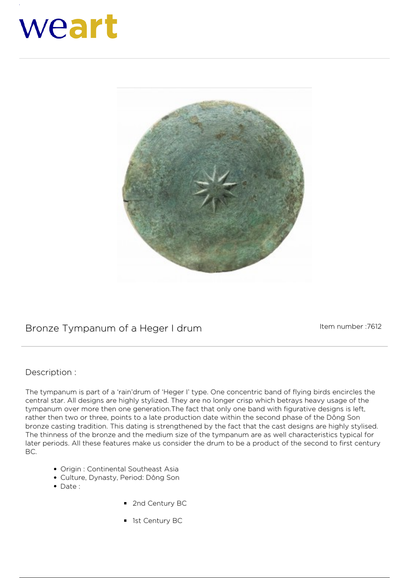## weart



## Bronze Tympanum of a Heger I drum<br>
Item number :7612

## **Description :**

The tympanum is part of a 'rain'drum of 'Heger I' type. One concentric band of flying birds encircles the central star. All designs are highly stylized. They are no longer crisp which betrays heavy usage of the tympanum over more then one generation.The fact that only one band with figurative designs is left, rather then two or three, points to a late production date within the second phase of the Dông Son bronze casting tradition. This dating is strengthened by the fact that the cast designs are highly stylised. The thinness of the bronze and the medium size of the tympanum are as well characteristics typical for later periods. All these features make us consider the drum to be a product of the second to first century BC.

- Origin : Continental Southeast Asia
- Culture, Dynasty, Period: Dông Son
- $\bullet$  Date :
- 2nd Century BC
- **1st Century BC**